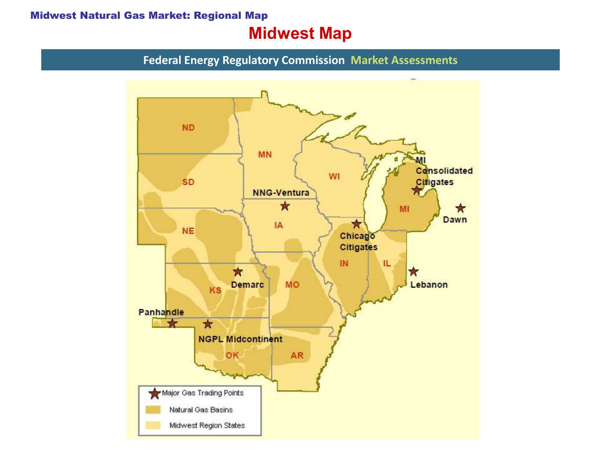#### Midwest Natural Gas Market: Regional Map

# Midwest Map

Federal Energy Regulatory Commission Market Assessments

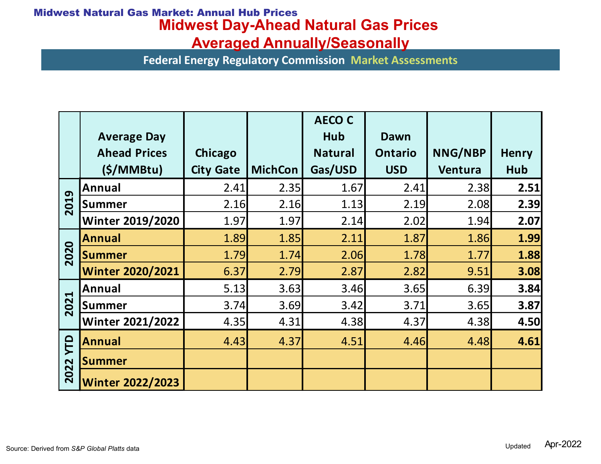### Midwest Day-Ahead Natural Gas Prices Midwest Natural Gas Market: Annual Hub Prices

| vest Natural Gas Market: Annual Hub Prices                                         |                                           |                                                                |                |                       |                        |         |              |
|------------------------------------------------------------------------------------|-------------------------------------------|----------------------------------------------------------------|----------------|-----------------------|------------------------|---------|--------------|
| <b>Midwest Day-Ahead Natural Gas Prices</b><br><b>Averaged Annually/Seasonally</b> |                                           |                                                                |                |                       |                        |         |              |
|                                                                                    |                                           | <b>Federal Energy Regulatory Commission Market Assessments</b> |                |                       |                        |         |              |
|                                                                                    |                                           |                                                                |                |                       |                        |         |              |
|                                                                                    |                                           |                                                                |                |                       |                        |         |              |
|                                                                                    |                                           |                                                                |                |                       |                        |         |              |
|                                                                                    |                                           |                                                                |                | <b>AECO C</b>         |                        |         |              |
|                                                                                    | <b>Average Day</b><br><b>Ahead Prices</b> | Chicago                                                        |                | Hub<br><b>Natural</b> | Dawn<br><b>Ontario</b> | NNG/NBP | <b>Henry</b> |
|                                                                                    | (S/MM)                                    | <b>City Gate</b>                                               | <b>MichCon</b> | Gas/USD               | <b>USD</b>             | Ventura | Hub          |
| 2019                                                                               | Annual                                    | 2.41                                                           | 2.35           | 1.67                  | 2.41                   | 2.38    | 2.51         |
|                                                                                    | Summer                                    | 2.16                                                           | 2.16           | 1.13                  | 2.19                   | 2.08    | 2.39         |
|                                                                                    | <b>Winter 2019/2020</b>                   | 1.97                                                           | 1.97           | 2.14                  | 2.02                   | 1.94    | 2.07         |
| 2020                                                                               | <b>Annual</b>                             | 1.89                                                           | 1.85           | 2.11                  | 1.87                   | 1.86    | 1.99         |
|                                                                                    | <b>Summer</b>                             | 1.79                                                           | 1.74           | 2.06                  | 1.78                   | 1.77    | 1.88         |
|                                                                                    | <b>Winter 2020/2021</b>                   | 6.37                                                           | 2.79           | 2.87                  | 2.82                   | 9.51    | 3.08         |
| 2021                                                                               | Annual                                    | 5.13                                                           | 3.63           | 3.46                  | 3.65                   | 6.39    | 3.84         |
|                                                                                    | <b>Summer</b>                             | 3.74                                                           | 3.69           | 3.42                  | 3.71                   | 3.65    | 3.87         |
|                                                                                    | <b>Winter 2021/2022</b>                   | 4.35                                                           | 4.31           | 4.38                  | 4.37                   | 4.38    | 4.50         |
|                                                                                    |                                           | 4.43                                                           | 4.37           | 4.51                  | 4.46                   | 4.48    | 4.61         |
|                                                                                    | <b>Annual</b>                             |                                                                |                |                       |                        |         |              |
| YTD<br>2022                                                                        | <b>Summer</b>                             |                                                                |                |                       |                        |         |              |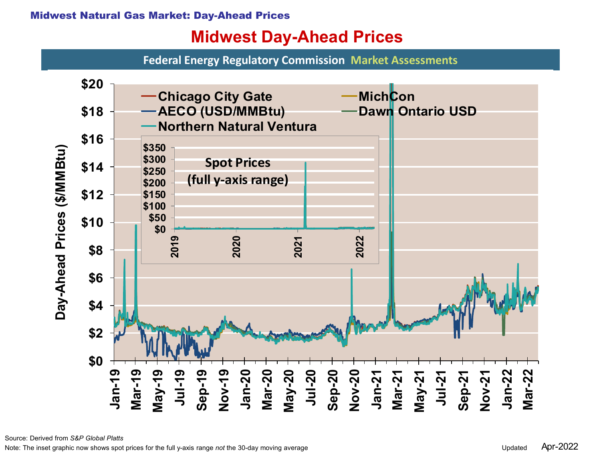# Midwest Day-Ahead Prices

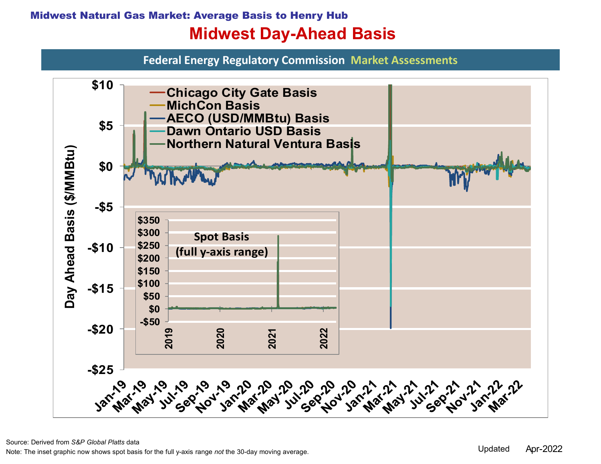### Midwest Natural Gas Market: Average Basis to Henry Hub Midwest Day-Ahead Basis

Federal Energy Regulatory Commission Market Assessments



Source: Derived from S&P Global Platts data

Note: The inset graphic now shows spot basis for the full y-axis range not the 30-day moving average.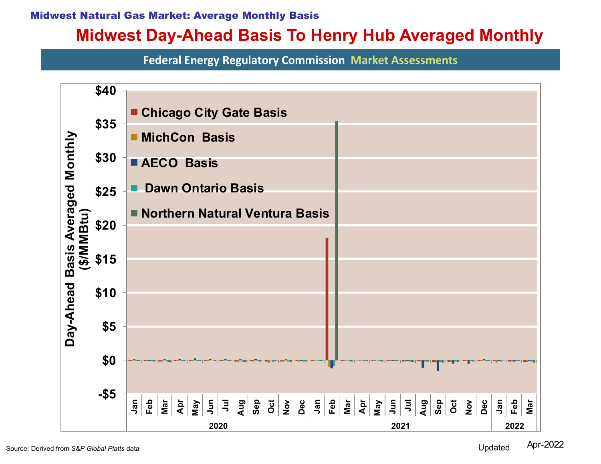#### Midwest Natural Gas Market: Average Monthly Basis

# Midwest Day-Ahead Basis To Henry Hub Averaged Monthly

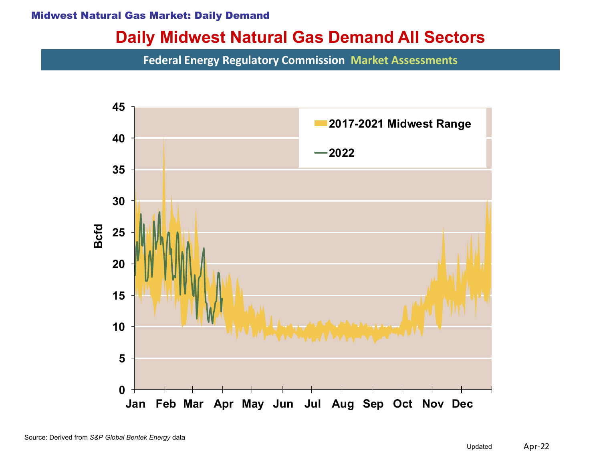#### Midwest Natural Gas Market: Daily Demand

### Daily Midwest Natural Gas Demand All Sectors